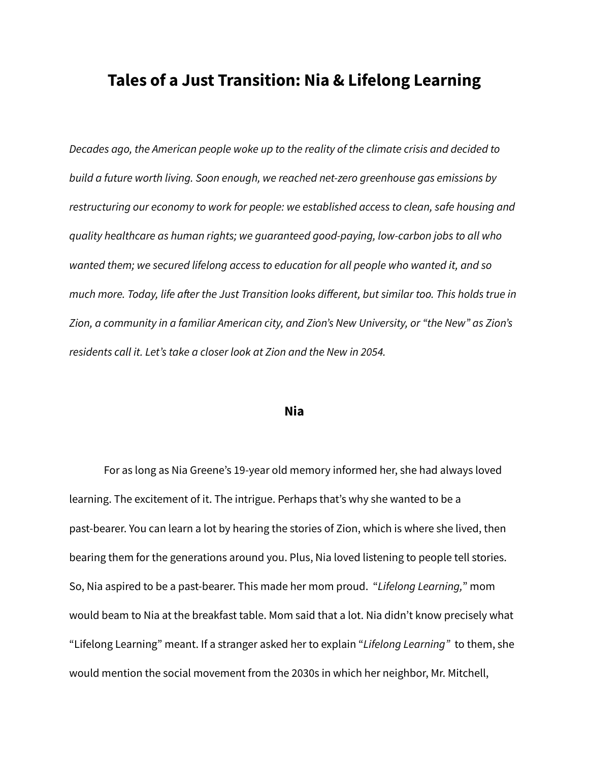# **Tales of a Just Transition: Nia & Lifelong Learning**

*Decades ago, the American people woke up to the reality of the climate crisis and decided to build a future worth living. Soon enough, we reached net-zero greenhouse gas emissions by restructuring our economy to work for people: we established access to clean, safe housing and quality healthcare as human rights; we guaranteed good-paying, low-carbon jobs to all who wanted them; we secured lifelong access to education for all people who wanted it, and so much more. Today, life after the Just Transition looks different, but similar too. This holds true in Zion, a community in a familiar American city, and Zion's New University, or "the New" as Zion's residents call it. Let's take a closer look at Zion and the New in 2054.*

## **Nia**

For as long as Nia Greene's 19-year old memory informed her, she had always loved learning. The excitement of it. The intrigue. Perhaps that's why she wanted to be a past-bearer. You can learn a lot by hearing the stories of Zion, which is where she lived, then bearing them for the generations around you. Plus, Nia loved listening to people tell stories. So, Nia aspired to be a past-bearer. This made her mom proud. "*Lifelong Learning,*" mom would beam to Nia at the breakfast table. Mom said that a lot. Nia didn't know precisely what "Lifelong Learning" meant. If a stranger asked her to explain "*Lifelong Learning"* to them, she would mention the social movement from the 2030s in which her neighbor, Mr. Mitchell,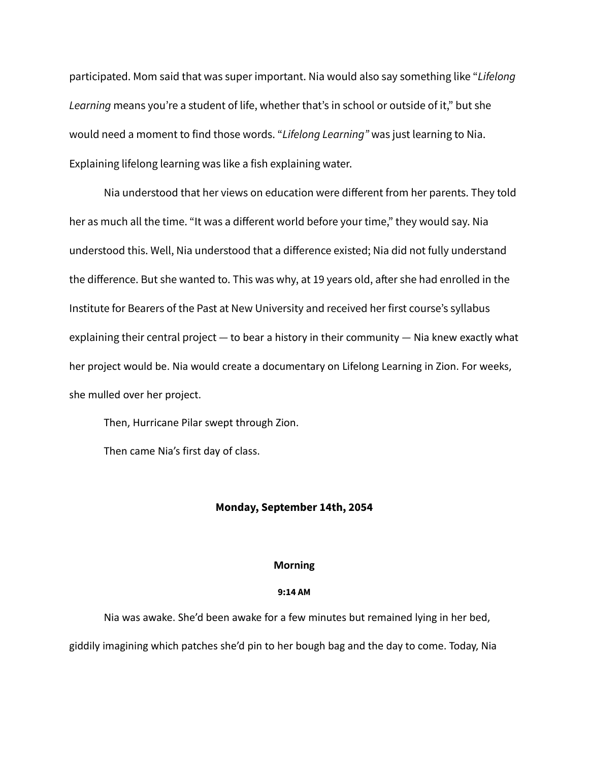participated. Mom said that was super important. Nia would also say something like "*Lifelong Learning* means you're a student of life, whether that's in school or outside of it," but she would need a moment to find those words. "*Lifelong Learning"* was just learning to Nia. Explaining lifelong learning was like a fish explaining water.

Nia understood that her views on education were different from her parents. They told her as much all the time. "It was a different world before your time," they would say. Nia understood this. Well, Nia understood that a difference existed; Nia did not fully understand the difference. But she wanted to. This was why, at 19 years old, after she had enrolled in the Institute for Bearers of the Past at New University and received her first course's syllabus explaining their central project — to bear a history in their community — Nia knew exactly what her project would be. Nia would create a documentary on Lifelong Learning in Zion. For weeks, she mulled over her project.

Then, Hurricane Pilar swept through Zion.

Then came Nia's first day of class.

## **Monday, September 14th, 2054**

#### **Morning**

## **9:14 AM**

Nia was awake. She'd been awake for a few minutes but remained lying in her bed, giddily imagining which patches she'd pin to her bough bag and the day to come. Today, Nia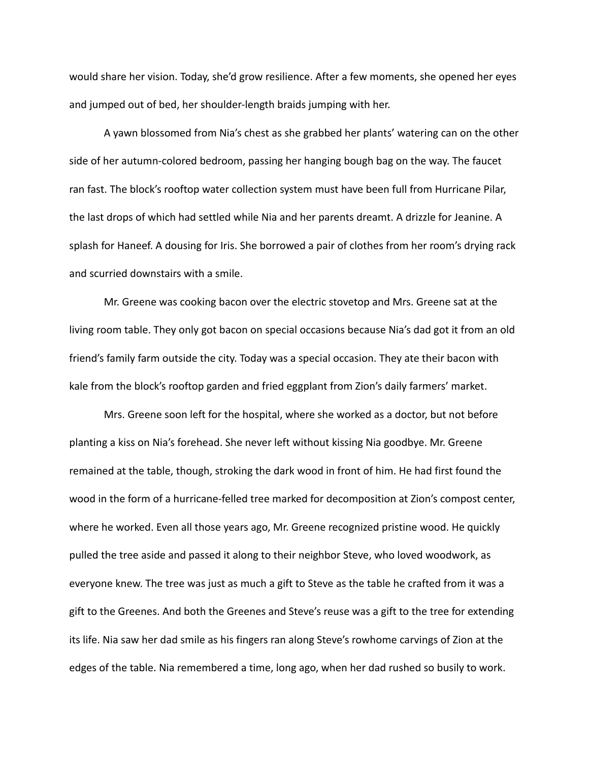would share her vision. Today, she'd grow resilience. After a few moments, she opened her eyes and jumped out of bed, her shoulder-length braids jumping with her.

A yawn blossomed from Nia's chest as she grabbed her plants' watering can on the other side of her autumn-colored bedroom, passing her hanging bough bag on the way. The faucet ran fast. The block's rooftop water collection system must have been full from Hurricane Pilar, the last drops of which had settled while Nia and her parents dreamt. A drizzle for Jeanine. A splash for Haneef. A dousing for Iris. She borrowed a pair of clothes from her room's drying rack and scurried downstairs with a smile.

Mr. Greene was cooking bacon over the electric stovetop and Mrs. Greene sat at the living room table. They only got bacon on special occasions because Nia's dad got it from an old friend's family farm outside the city. Today was a special occasion. They ate their bacon with kale from the block's rooftop garden and fried eggplant from Zion's daily farmers' market.

Mrs. Greene soon left for the hospital, where she worked as a doctor, but not before planting a kiss on Nia's forehead. She never left without kissing Nia goodbye. Mr. Greene remained at the table, though, stroking the dark wood in front of him. He had first found the wood in the form of a hurricane-felled tree marked for decomposition at Zion's compost center, where he worked. Even all those years ago, Mr. Greene recognized pristine wood. He quickly pulled the tree aside and passed it along to their neighbor Steve, who loved woodwork, as everyone knew. The tree was just as much a gift to Steve as the table he crafted from it was a gift to the Greenes. And both the Greenes and Steve's reuse was a gift to the tree for extending its life. Nia saw her dad smile as his fingers ran along Steve's rowhome carvings of Zion at the edges of the table. Nia remembered a time, long ago, when her dad rushed so busily to work.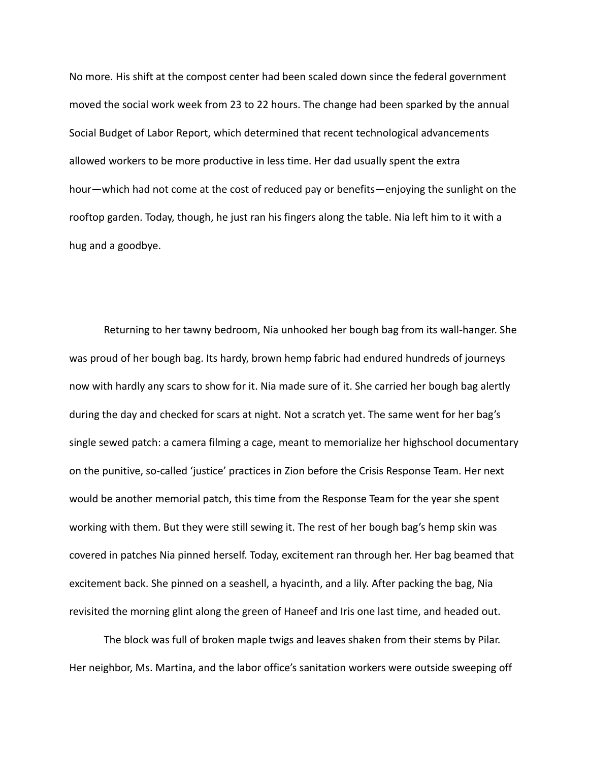No more. His shift at the compost center had been scaled down since the federal government moved the social work week from 23 to 22 hours. The change had been sparked by the annual Social Budget of Labor Report, which determined that recent technological advancements allowed workers to be more productive in less time. Her dad usually spent the extra hour—which had not come at the cost of reduced pay or benefits—enjoying the sunlight on the rooftop garden. Today, though, he just ran his fingers along the table. Nia left him to it with a hug and a goodbye.

Returning to her tawny bedroom, Nia unhooked her bough bag from its wall-hanger. She was proud of her bough bag. Its hardy, brown hemp fabric had endured hundreds of journeys now with hardly any scars to show for it. Nia made sure of it. She carried her bough bag alertly during the day and checked for scars at night. Not a scratch yet. The same went for her bag's single sewed patch: a camera filming a cage, meant to memorialize her highschool documentary on the punitive, so-called 'justice' practices in Zion before the Crisis Response Team. Her next would be another memorial patch, this time from the Response Team for the year she spent working with them. But they were still sewing it. The rest of her bough bag's hemp skin was covered in patches Nia pinned herself. Today, excitement ran through her. Her bag beamed that excitement back. She pinned on a seashell, a hyacinth, and a lily. After packing the bag, Nia revisited the morning glint along the green of Haneef and Iris one last time, and headed out.

The block was full of broken maple twigs and leaves shaken from their stems by Pilar. Her neighbor, Ms. Martina, and the labor office's sanitation workers were outside sweeping off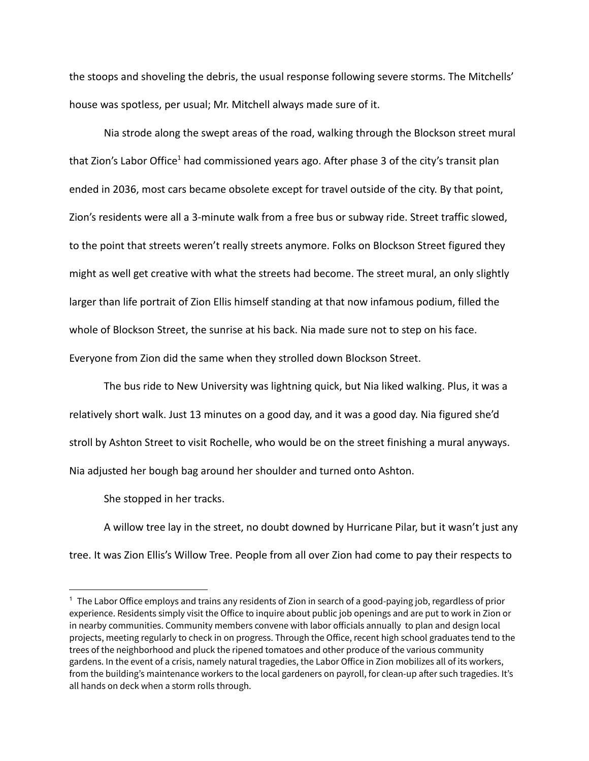the stoops and shoveling the debris, the usual response following severe storms. The Mitchells' house was spotless, per usual; Mr. Mitchell always made sure of it.

Nia strode along the swept areas of the road, walking through the Blockson street mural that Zion's Labor Office<sup>1</sup> had commissioned years ago. After phase 3 of the city's transit plan ended in 2036, most cars became obsolete except for travel outside of the city. By that point, Zion's residents were all a 3-minute walk from a free bus or subway ride. Street traffic slowed, to the point that streets weren't really streets anymore. Folks on Blockson Street figured they might as well get creative with what the streets had become. The street mural, an only slightly larger than life portrait of Zion Ellis himself standing at that now infamous podium, filled the whole of Blockson Street, the sunrise at his back. Nia made sure not to step on his face. Everyone from Zion did the same when they strolled down Blockson Street.

The bus ride to New University was lightning quick, but Nia liked walking. Plus, it was a relatively short walk. Just 13 minutes on a good day, and it was a good day. Nia figured she'd stroll by Ashton Street to visit Rochelle, who would be on the street finishing a mural anyways. Nia adjusted her bough bag around her shoulder and turned onto Ashton.

She stopped in her tracks.

A willow tree lay in the street, no doubt downed by Hurricane Pilar, but it wasn't just any tree. It was Zion Ellis's Willow Tree. People from all over Zion had come to pay their respects to

<sup>1</sup> The Labor Office employs and trains any residents of Zion in search of a good-paying job, regardless of prior experience. Residents simply visit the Office to inquire about public job openings and are put to work in Zion or in nearby communities. Community members convene with labor officials annually to plan and design local projects, meeting regularly to check in on progress. Through the Office, recent high school graduates tend to the trees of the neighborhood and pluck the ripened tomatoes and other produce of the various community gardens. In the event of a crisis, namely natural tragedies, the Labor Office in Zion mobilizes all of its workers, from the building's maintenance workers to the local gardeners on payroll, for clean-up after such tragedies. It's all hands on deck when a storm rolls through.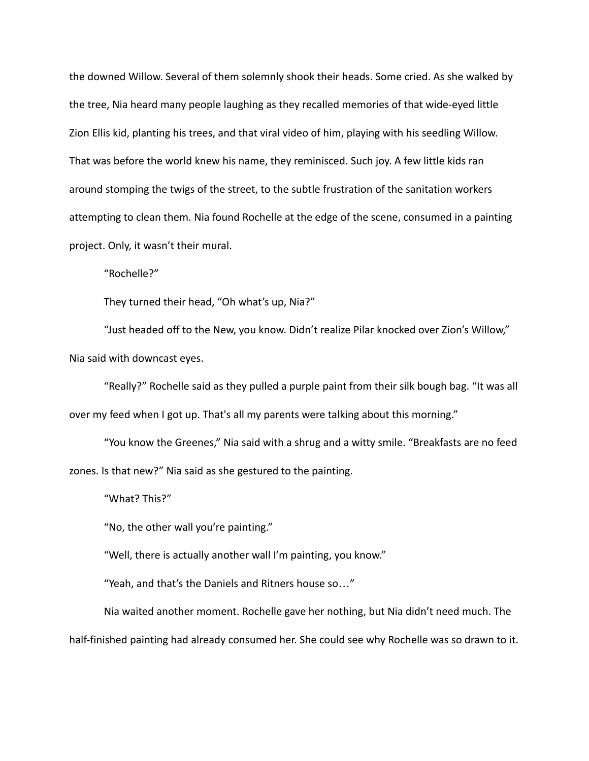the downed Willow. Several of them solemnly shook their heads. Some cried. As she walked by the tree, Nia heard many people laughing as they recalled memories of that wide-eyed little Zion Ellis kid, planting his trees, and that viral video of him, playing with his seedling Willow. That was before the world knew his name, they reminisced. Such joy. A few little kids ran around stomping the twigs of the street, to the subtle frustration of the sanitation workers attempting to clean them. Nia found Rochelle at the edge of the scene, consumed in a painting project. Only, it wasn't their mural.

"Rochelle?"

They turned their head, "Oh what's up, Nia?"

"Just headed off to the New, you know. Didn't realize Pilar knocked over Zion's Willow," Nia said with downcast eyes.

"Really?" Rochelle said as they pulled a purple paint from their silk bough bag. "It was all over my feed when I got up. That's all my parents were talking about this morning."

"You know the Greenes," Nia said with a shrug and a witty smile. "Breakfasts are no feed zones. Is that new?" Nia said as she gestured to the painting.

"What? This?"

"No, the other wall you're painting."

"Well, there is actually another wall I'm painting, you know."

"Yeah, and that's the Daniels and Ritners house so…"

Nia waited another moment. Rochelle gave her nothing, but Nia didn't need much. The half-finished painting had already consumed her. She could see why Rochelle was so drawn to it.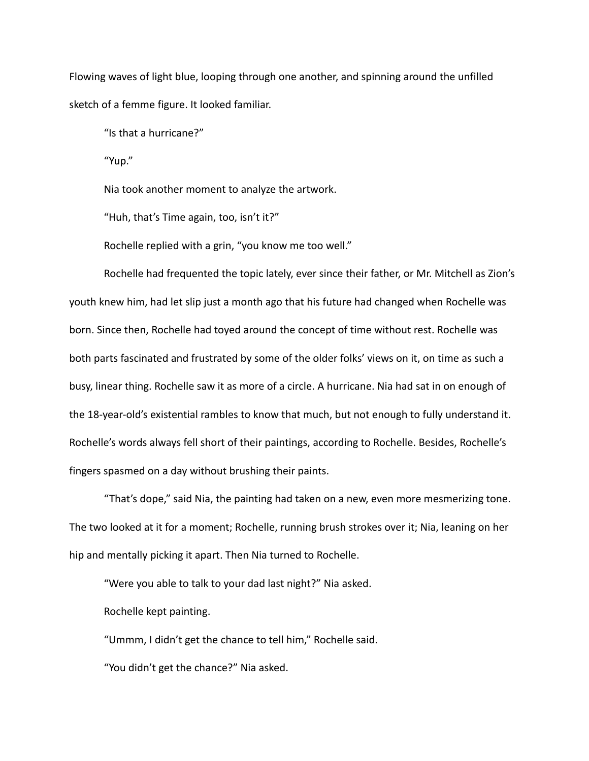Flowing waves of light blue, looping through one another, and spinning around the unfilled sketch of a femme figure. It looked familiar.

"Is that a hurricane?"

"Yup."

Nia took another moment to analyze the artwork.

"Huh, that's Time again, too, isn't it?"

Rochelle replied with a grin, "you know me too well."

Rochelle had frequented the topic lately, ever since their father, or Mr. Mitchell as Zion's youth knew him, had let slip just a month ago that his future had changed when Rochelle was born. Since then, Rochelle had toyed around the concept of time without rest. Rochelle was both parts fascinated and frustrated by some of the older folks' views on it, on time as such a busy, linear thing. Rochelle saw it as more of a circle. A hurricane. Nia had sat in on enough of the 18-year-old's existential rambles to know that much, but not enough to fully understand it. Rochelle's words always fell short of their paintings, according to Rochelle. Besides, Rochelle's fingers spasmed on a day without brushing their paints.

"That's dope," said Nia, the painting had taken on a new, even more mesmerizing tone. The two looked at it for a moment; Rochelle, running brush strokes over it; Nia, leaning on her hip and mentally picking it apart. Then Nia turned to Rochelle.

"Were you able to talk to your dad last night?" Nia asked.

Rochelle kept painting.

"Ummm, I didn't get the chance to tell him," Rochelle said. "You didn't get the chance?" Nia asked.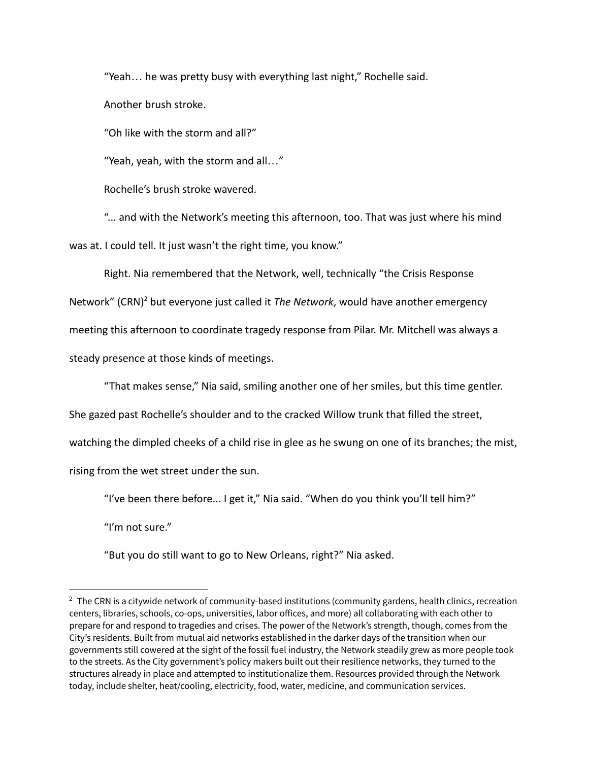"Yeah… he was pretty busy with everything last night," Rochelle said. Another brush stroke.

"Oh like with the storm and all?"

"Yeah, yeah, with the storm and all…"

Rochelle's brush stroke wavered.

"... and with the Network's meeting this afternoon, too. That was just where his mind was at. I could tell. It just wasn't the right time, you know."

Right. Nia remembered that the Network, well, technically "the Crisis Response Network" (CRN)<sup>2</sup> but everyone just called it *The Network*, would have another emergency meeting this afternoon to coordinate tragedy response from Pilar. Mr. Mitchell was always a steady presence at those kinds of meetings.

"That makes sense," Nia said, smiling another one of her smiles, but this time gentler.

She gazed past Rochelle's shoulder and to the cracked Willow trunk that filled the street,

watching the dimpled cheeks of a child rise in glee as he swung on one of its branches; the mist,

rising from the wet street under the sun.

"I've been there before... I get it," Nia said. "When do you think you'll tell him?"

"I'm not sure."

"But you do still want to go to New Orleans, right?" Nia asked.

 $2$  The CRN is a citywide network of community-based institutions (community gardens, health clinics, recreation centers, libraries, schools, co-ops, universities, labor offices, and more) all collaborating with each other to prepare for and respond to tragedies and crises. The power of the Network's strength, though, comes from the City's residents. Built from mutual aid networks established in the darker days of the transition when our governments still cowered at the sight of the fossil fuel industry, the Network steadily grew as more people took to the streets. As the City government's policy makers built out their resilience networks, they turned to the structures already in place and attempted to institutionalize them. Resources provided through the Network today, include shelter, heat/cooling, electricity, food, water, medicine, and communication services.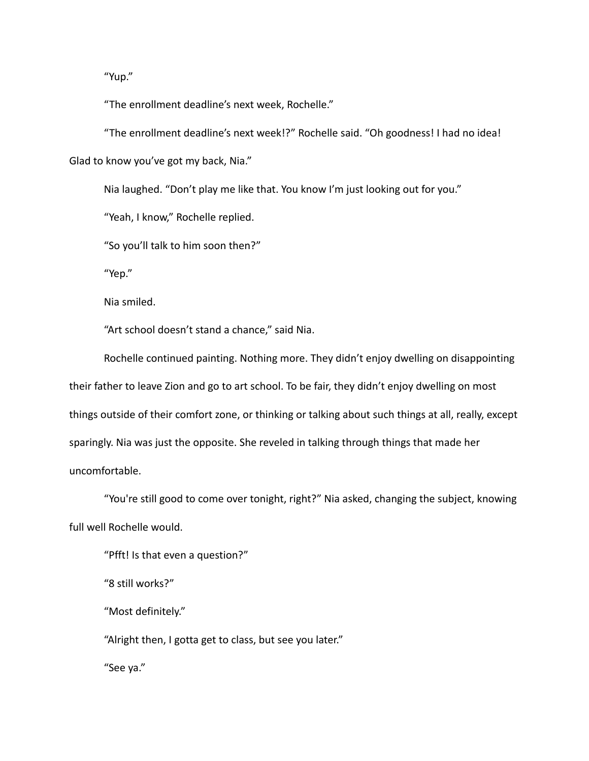"Yup."

"The enrollment deadline's next week, Rochelle."

"The enrollment deadline's next week!?" Rochelle said. "Oh goodness! I had no idea! Glad to know you've got my back, Nia."

Nia laughed. "Don't play me like that. You know I'm just looking out for you."

"Yeah, I know," Rochelle replied.

"So you'll talk to him soon then?"

"Yep."

Nia smiled.

"Art school doesn't stand a chance," said Nia.

Rochelle continued painting. Nothing more. They didn't enjoy dwelling on disappointing their father to leave Zion and go to art school. To be fair, they didn't enjoy dwelling on most things outside of their comfort zone, or thinking or talking about such things at all, really, except sparingly. Nia was just the opposite. She reveled in talking through things that made her uncomfortable.

"You're still good to come over tonight, right?" Nia asked, changing the subject, knowing full well Rochelle would.

"Pfft! Is that even a question?"

"8 still works?"

"Most definitely."

"Alright then, I gotta get to class, but see you later."

"See ya."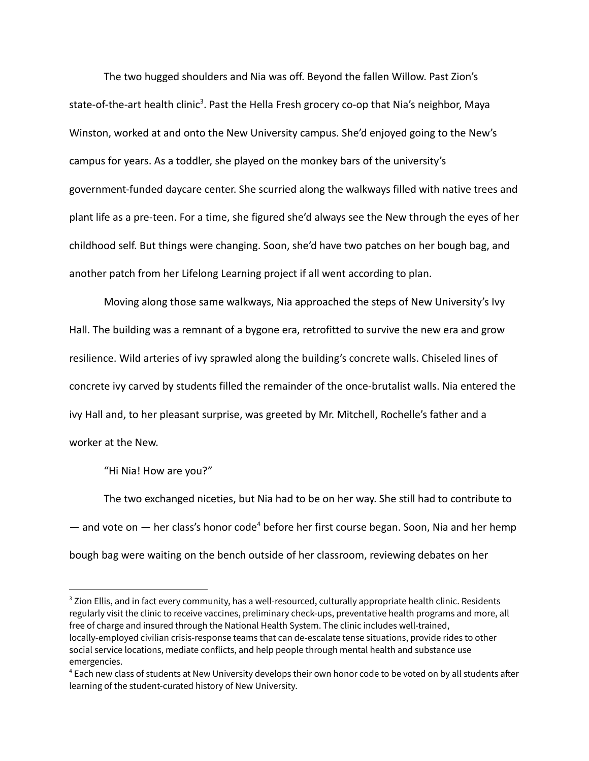The two hugged shoulders and Nia was off. Beyond the fallen Willow. Past Zion's state-of-the-art health clinic<sup>3</sup>. Past the Hella Fresh grocery co-op that Nia's neighbor, Maya Winston, worked at and onto the New University campus. She'd enjoyed going to the New's campus for years. As a toddler, she played on the monkey bars of the university's government-funded daycare center. She scurried along the walkways filled with native trees and plant life as a pre-teen. For a time, she figured she'd always see the New through the eyes of her childhood self. But things were changing. Soon, she'd have two patches on her bough bag, and another patch from her Lifelong Learning project if all went according to plan.

Moving along those same walkways, Nia approached the steps of New University's Ivy Hall. The building was a remnant of a bygone era, retrofitted to survive the new era and grow resilience. Wild arteries of ivy sprawled along the building's concrete walls. Chiseled lines of concrete ivy carved by students filled the remainder of the once-brutalist walls. Nia entered the ivy Hall and, to her pleasant surprise, was greeted by Mr. Mitchell, Rochelle's father and a worker at the New.

"Hi Nia! How are you?"

The two exchanged niceties, but Nia had to be on her way. She still had to contribute to — and vote on — her class's honor code<sup>4</sup> before her first course began. Soon, Nia and her hemp bough bag were waiting on the bench outside of her classroom, reviewing debates on her

<sup>&</sup>lt;sup>3</sup> Zion Ellis, and in fact every community, has a well-resourced, culturally appropriate health clinic. Residents regularly visit the clinic to receive vaccines, preliminary check-ups, preventative health programs and more, all free of charge and insured through the National Health System. The clinic includes well-trained, locally-employed civilian crisis-response teams that can de-escalate tense situations, provide rides to other social service locations, mediate conflicts, and help people through mental health and substance use emergencies.

<sup>4</sup> Each new class of students at New University develops their own honor code to be voted on by all students after learning of the student-curated history of New University.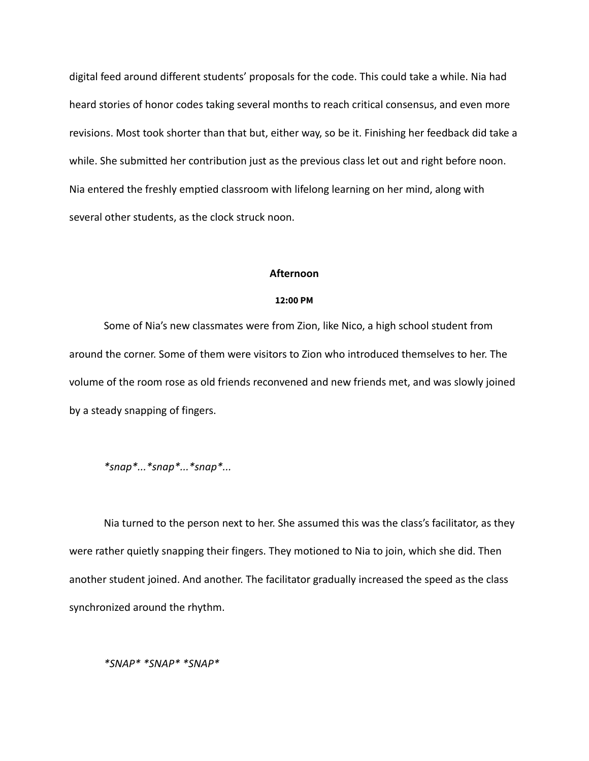digital feed around different students' proposals for the code. This could take a while. Nia had heard stories of honor codes taking several months to reach critical consensus, and even more revisions. Most took shorter than that but, either way, so be it. Finishing her feedback did take a while. She submitted her contribution just as the previous class let out and right before noon. Nia entered the freshly emptied classroom with lifelong learning on her mind, along with several other students, as the clock struck noon.

#### **Afternoon**

## **12:00 PM**

Some of Nia's new classmates were from Zion, like Nico, a high school student from around the corner. Some of them were visitors to Zion who introduced themselves to her. The volume of the room rose as old friends reconvened and new friends met, and was slowly joined by a steady snapping of fingers.

## *\*snap\*...\*snap\*...\*snap\*...*

Nia turned to the person next to her. She assumed this was the class's facilitator, as they were rather quietly snapping their fingers. They motioned to Nia to join, which she did. Then another student joined. And another. The facilitator gradually increased the speed as the class synchronized around the rhythm.

*\*SNAP\* \*SNAP\* \*SNAP\**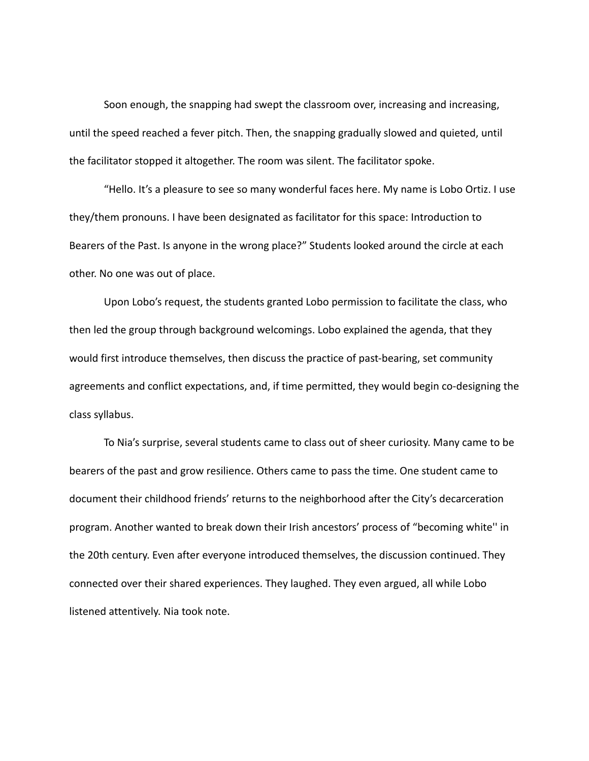Soon enough, the snapping had swept the classroom over, increasing and increasing, until the speed reached a fever pitch. Then, the snapping gradually slowed and quieted, until the facilitator stopped it altogether. The room was silent. The facilitator spoke.

"Hello. It's a pleasure to see so many wonderful faces here. My name is Lobo Ortiz. I use they/them pronouns. I have been designated as facilitator for this space: Introduction to Bearers of the Past. Is anyone in the wrong place?" Students looked around the circle at each other. No one was out of place.

Upon Lobo's request, the students granted Lobo permission to facilitate the class, who then led the group through background welcomings. Lobo explained the agenda, that they would first introduce themselves, then discuss the practice of past-bearing, set community agreements and conflict expectations, and, if time permitted, they would begin co-designing the class syllabus.

To Nia's surprise, several students came to class out of sheer curiosity. Many came to be bearers of the past and grow resilience. Others came to pass the time. One student came to document their childhood friends' returns to the neighborhood after the City's decarceration program. Another wanted to break down their Irish ancestors' process of "becoming white'' in the 20th century. Even after everyone introduced themselves, the discussion continued. They connected over their shared experiences. They laughed. They even argued, all while Lobo listened attentively. Nia took note.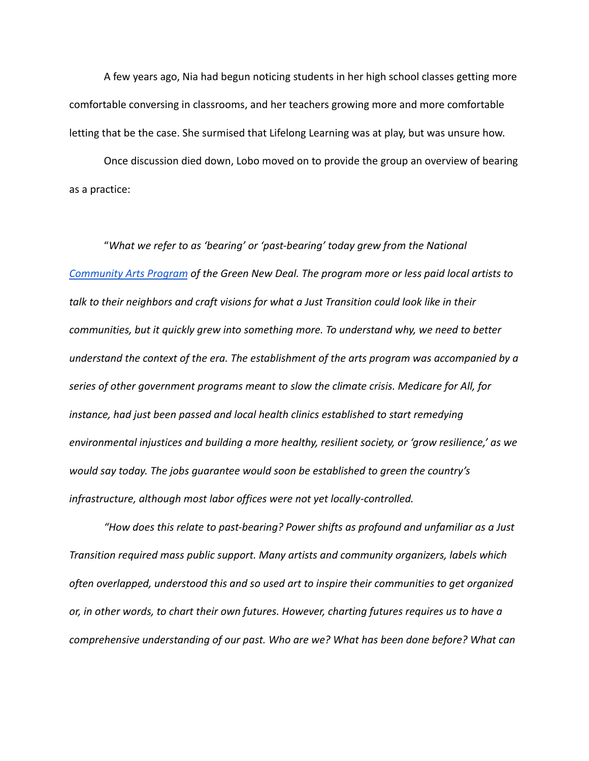A few years ago, Nia had begun noticing students in her high school classes getting more comfortable conversing in classrooms, and her teachers growing more and more comfortable letting that be the case. She surmised that Lifelong Learning was at play, but was unsure how.

Once discussion died down, Lobo moved on to provide the group an overview of bearing as a practice:

"*What we refer to as 'bearing' or 'past-bearing' today grew from the National [Community Arts Program](https://inthesetimes.com/article/green-new-deal-art-cultural-work-climate-crisis-public-utilities-wpa) of the Green New Deal. The program more or less paid local artists to talk to their neighbors and craft visions for what a Just Transition could look like in their communities, but it quickly grew into something more. To understand why, we need to better understand the context of the era. The establishment of the arts program was accompanied by a series of other government programs meant to slow the climate crisis. Medicare for All, for instance, had just been passed and local health clinics established to start remedying environmental injustices and building a more healthy, resilient society, or 'grow resilience,' as we would say today. The jobs guarantee would soon be established to green the country's infrastructure, although most labor offices were not yet locally-controlled.*

*"How does this relate to past-bearing? Power shifts as profound and unfamiliar as a Just Transition required mass public support. Many artists and community organizers, labels which often overlapped, understood this and so used art to inspire their communities to get organized or, in other words, to chart their own futures. However, charting futures requires us to have a comprehensive understanding of our past. Who are we? What has been done before? What can*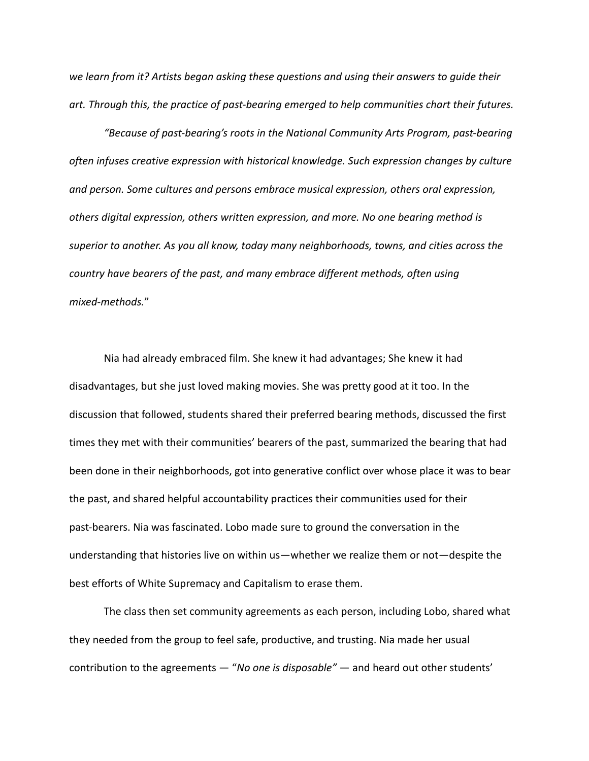*we learn from it? Artists began asking these questions and using their answers to guide their art. Through this, the practice of past-bearing emerged to help communities chart their futures.*

*"Because of past-bearing's roots in the National Community Arts Program, past-bearing often infuses creative expression with historical knowledge. Such expression changes by culture and person. Some cultures and persons embrace musical expression, others oral expression, others digital expression, others written expression, and more. No one bearing method is superior to another. As you all know, today many neighborhoods, towns, and cities across the country have bearers of the past, and many embrace different methods, often using mixed-methods.*"

Nia had already embraced film. She knew it had advantages; She knew it had disadvantages, but she just loved making movies. She was pretty good at it too. In the discussion that followed, students shared their preferred bearing methods, discussed the first times they met with their communities' bearers of the past, summarized the bearing that had been done in their neighborhoods, got into generative conflict over whose place it was to bear the past, and shared helpful accountability practices their communities used for their past-bearers. Nia was fascinated. Lobo made sure to ground the conversation in the understanding that histories live on within us—whether we realize them or not—despite the best efforts of White Supremacy and Capitalism to erase them.

The class then set community agreements as each person, including Lobo, shared what they needed from the group to feel safe, productive, and trusting. Nia made her usual contribution to the agreements — "*No one is disposable"* — and heard out other students'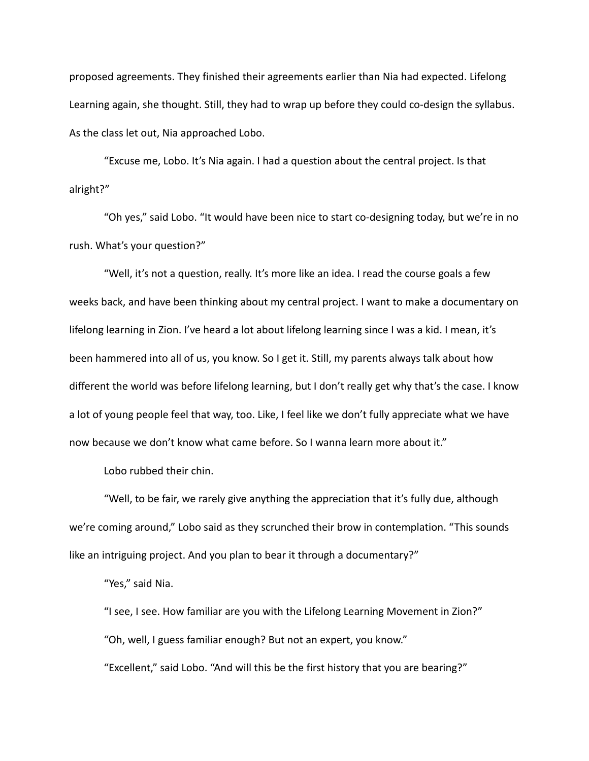proposed agreements. They finished their agreements earlier than Nia had expected. Lifelong Learning again, she thought. Still, they had to wrap up before they could co-design the syllabus. As the class let out, Nia approached Lobo.

"Excuse me, Lobo. It's Nia again. I had a question about the central project. Is that alright?"

"Oh yes," said Lobo. "It would have been nice to start co-designing today, but we're in no rush. What's your question?"

"Well, it's not a question, really. It's more like an idea. I read the course goals a few weeks back, and have been thinking about my central project. I want to make a documentary on lifelong learning in Zion. I've heard a lot about lifelong learning since I was a kid. I mean, it's been hammered into all of us, you know. So I get it. Still, my parents always talk about how different the world was before lifelong learning, but I don't really get why that's the case. I know a lot of young people feel that way, too. Like, I feel like we don't fully appreciate what we have now because we don't know what came before. So I wanna learn more about it."

Lobo rubbed their chin.

"Well, to be fair, we rarely give anything the appreciation that it's fully due, although we're coming around," Lobo said as they scrunched their brow in contemplation. "This sounds like an intriguing project. And you plan to bear it through a documentary?"

"Yes," said Nia.

"I see, I see. How familiar are you with the Lifelong Learning Movement in Zion?" "Oh, well, I guess familiar enough? But not an expert, you know."

"Excellent," said Lobo. "And will this be the first history that you are bearing?"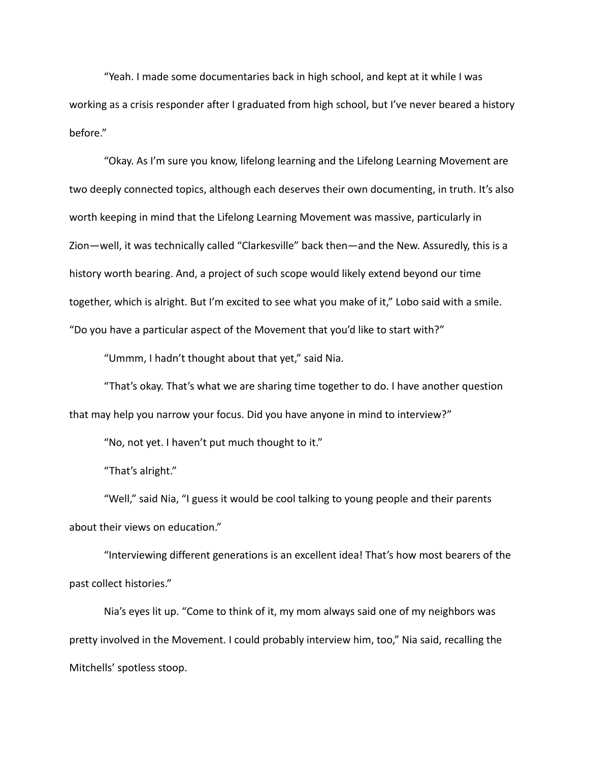"Yeah. I made some documentaries back in high school, and kept at it while I was working as a crisis responder after I graduated from high school, but I've never beared a history before."

"Okay. As I'm sure you know, lifelong learning and the Lifelong Learning Movement are two deeply connected topics, although each deserves their own documenting, in truth. It's also worth keeping in mind that the Lifelong Learning Movement was massive, particularly in Zion—well, it was technically called "Clarkesville" back then—and the New. Assuredly, this is a history worth bearing. And, a project of such scope would likely extend beyond our time together, which is alright. But I'm excited to see what you make of it," Lobo said with a smile. "Do you have a particular aspect of the Movement that you'd like to start with?"

"Ummm, I hadn't thought about that yet," said Nia.

"That's okay. That's what we are sharing time together to do. I have another question that may help you narrow your focus. Did you have anyone in mind to interview?"

"No, not yet. I haven't put much thought to it."

"That's alright."

"Well," said Nia, "I guess it would be cool talking to young people and their parents about their views on education."

"Interviewing different generations is an excellent idea! That's how most bearers of the past collect histories."

Nia's eyes lit up. "Come to think of it, my mom always said one of my neighbors was pretty involved in the Movement. I could probably interview him, too," Nia said, recalling the Mitchells' spotless stoop.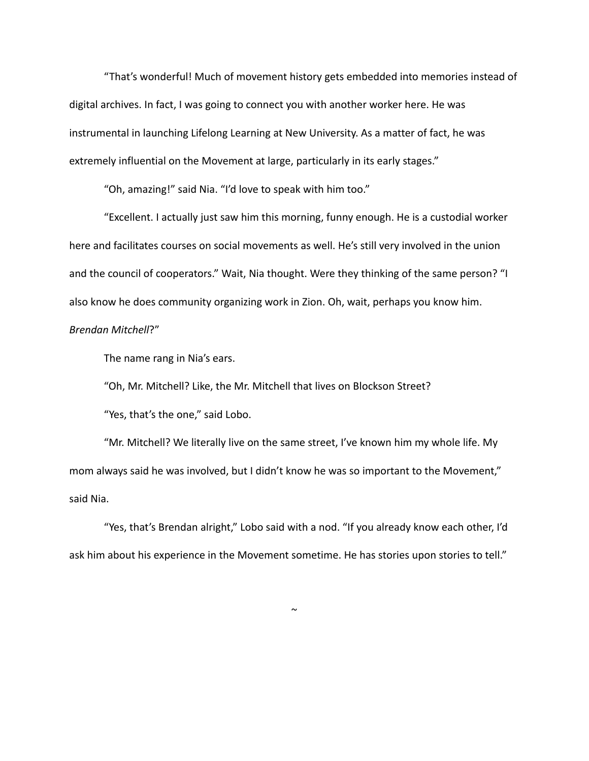"That's wonderful! Much of movement history gets embedded into memories instead of digital archives. In fact, I was going to connect you with another worker here. He was instrumental in launching Lifelong Learning at New University. As a matter of fact, he was extremely influential on the Movement at large, particularly in its early stages."

"Oh, amazing!" said Nia. "I'd love to speak with him too."

"Excellent. I actually just saw him this morning, funny enough. He is a custodial worker here and facilitates courses on social movements as well. He's still very involved in the union and the council of cooperators." Wait, Nia thought. Were they thinking of the same person? "I also know he does community organizing work in Zion. Oh, wait, perhaps you know him. *Brendan Mitchell*?"

The name rang in Nia's ears.

"Oh, Mr. Mitchell? Like, the Mr. Mitchell that lives on Blockson Street?

"Yes, that's the one," said Lobo.

"Mr. Mitchell? We literally live on the same street, I've known him my whole life. My mom always said he was involved, but I didn't know he was so important to the Movement," said Nia.

"Yes, that's Brendan alright," Lobo said with a nod. "If you already know each other, I'd ask him about his experience in the Movement sometime. He has stories upon stories to tell."

 $\tilde{}$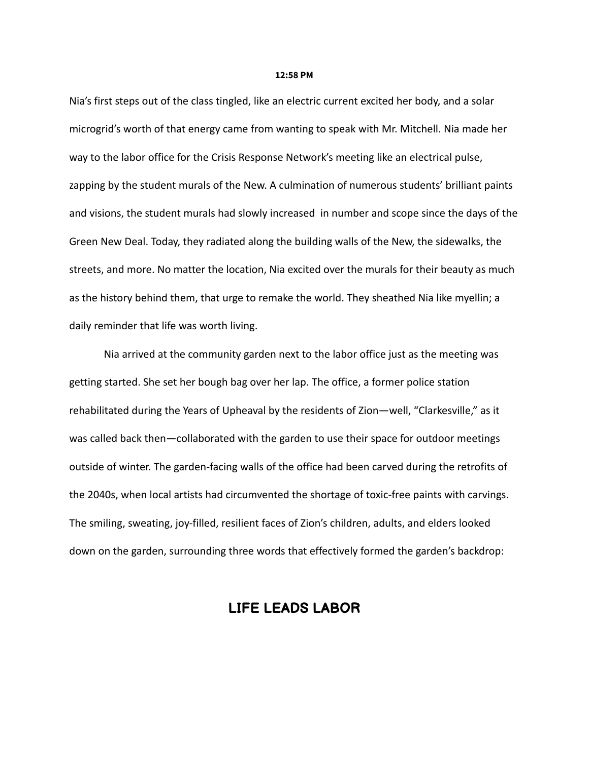#### **12:58 PM**

Nia's first steps out of the class tingled, like an electric current excited her body, and a solar microgrid's worth of that energy came from wanting to speak with Mr. Mitchell. Nia made her way to the labor office for the Crisis Response Network's meeting like an electrical pulse, zapping by the student murals of the New. A culmination of numerous students' brilliant paints and visions, the student murals had slowly increased in number and scope since the days of the Green New Deal. Today, they radiated along the building walls of the New, the sidewalks, the streets, and more. No matter the location, Nia excited over the murals for their beauty as much as the history behind them, that urge to remake the world. They sheathed Nia like myellin; a daily reminder that life was worth living.

Nia arrived at the community garden next to the labor office just as the meeting was getting started. She set her bough bag over her lap. The office, a former police station rehabilitated during the Years of Upheaval by the residents of Zion—well, "Clarkesville," as it was called back then—collaborated with the garden to use their space for outdoor meetings outside of winter. The garden-facing walls of the office had been carved during the retrofits of the 2040s, when local artists had circumvented the shortage of toxic-free paints with carvings. The smiling, sweating, joy-filled, resilient faces of Zion's children, adults, and elders looked down on the garden, surrounding three words that effectively formed the garden's backdrop:

## **LIFE LEADS LABOR**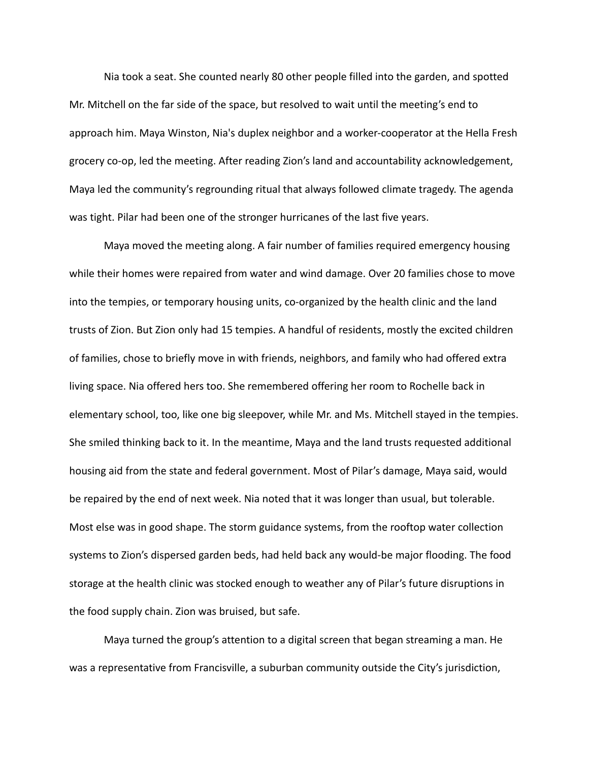Nia took a seat. She counted nearly 80 other people filled into the garden, and spotted Mr. Mitchell on the far side of the space, but resolved to wait until the meeting's end to approach him. Maya Winston, Nia's duplex neighbor and a worker-cooperator at the Hella Fresh grocery co-op, led the meeting. After reading Zion's land and accountability acknowledgement, Maya led the community's regrounding ritual that always followed climate tragedy. The agenda was tight. Pilar had been one of the stronger hurricanes of the last five years.

Maya moved the meeting along. A fair number of families required emergency housing while their homes were repaired from water and wind damage. Over 20 families chose to move into the tempies, or temporary housing units, co-organized by the health clinic and the land trusts of Zion. But Zion only had 15 tempies. A handful of residents, mostly the excited children of families, chose to briefly move in with friends, neighbors, and family who had offered extra living space. Nia offered hers too. She remembered offering her room to Rochelle back in elementary school, too, like one big sleepover, while Mr. and Ms. Mitchell stayed in the tempies. She smiled thinking back to it. In the meantime, Maya and the land trusts requested additional housing aid from the state and federal government. Most of Pilar's damage, Maya said, would be repaired by the end of next week. Nia noted that it was longer than usual, but tolerable. Most else was in good shape. The storm guidance systems, from the rooftop water collection systems to Zion's dispersed garden beds, had held back any would-be major flooding. The food storage at the health clinic was stocked enough to weather any of Pilar's future disruptions in the food supply chain. Zion was bruised, but safe.

Maya turned the group's attention to a digital screen that began streaming a man. He was a representative from Francisville, a suburban community outside the City's jurisdiction,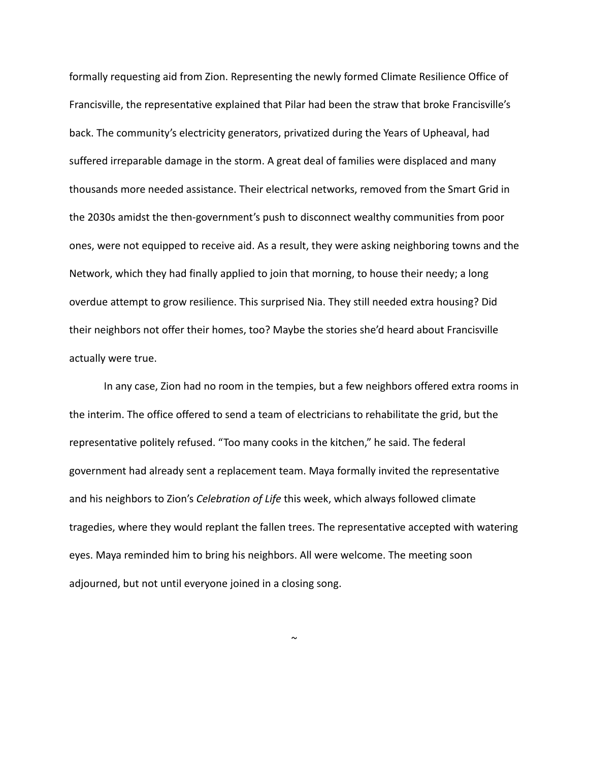formally requesting aid from Zion. Representing the newly formed Climate Resilience Office of Francisville, the representative explained that Pilar had been the straw that broke Francisville's back. The community's electricity generators, privatized during the Years of Upheaval, had suffered irreparable damage in the storm. A great deal of families were displaced and many thousands more needed assistance. Their electrical networks, removed from the Smart Grid in the 2030s amidst the then-government's push to disconnect wealthy communities from poor ones, were not equipped to receive aid. As a result, they were asking neighboring towns and the Network, which they had finally applied to join that morning, to house their needy; a long overdue attempt to grow resilience. This surprised Nia. They still needed extra housing? Did their neighbors not offer their homes, too? Maybe the stories she'd heard about Francisville actually were true.

In any case, Zion had no room in the tempies, but a few neighbors offered extra rooms in the interim. The office offered to send a team of electricians to rehabilitate the grid, but the representative politely refused. "Too many cooks in the kitchen," he said. The federal government had already sent a replacement team. Maya formally invited the representative and his neighbors to Zion's *Celebration of Life* this week, which always followed climate tragedies, where they would replant the fallen trees. The representative accepted with watering eyes. Maya reminded him to bring his neighbors. All were welcome. The meeting soon adjourned, but not until everyone joined in a closing song.

 $\sim$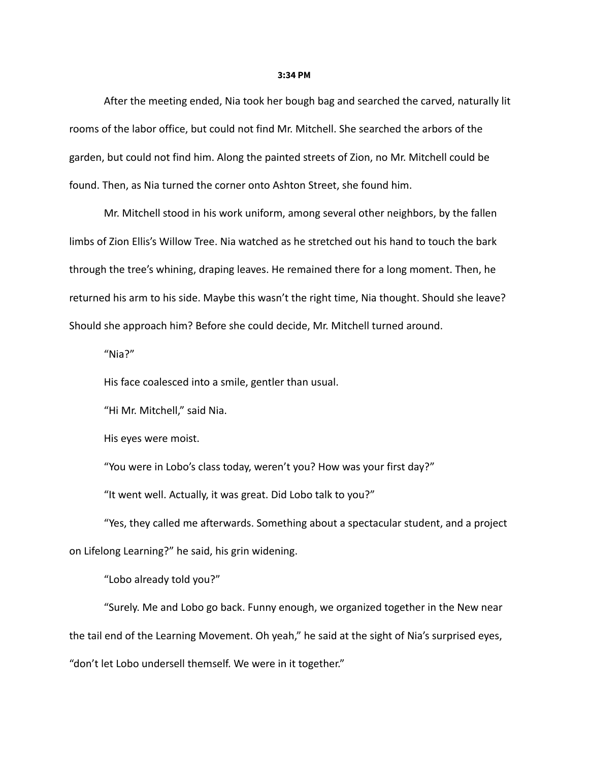#### **3:34 PM**

After the meeting ended, Nia took her bough bag and searched the carved, naturally lit rooms of the labor office, but could not find Mr. Mitchell. She searched the arbors of the garden, but could not find him. Along the painted streets of Zion, no Mr. Mitchell could be found. Then, as Nia turned the corner onto Ashton Street, she found him.

Mr. Mitchell stood in his work uniform, among several other neighbors, by the fallen limbs of Zion Ellis's Willow Tree. Nia watched as he stretched out his hand to touch the bark through the tree's whining, draping leaves. He remained there for a long moment. Then, he returned his arm to his side. Maybe this wasn't the right time, Nia thought. Should she leave? Should she approach him? Before she could decide, Mr. Mitchell turned around.

"Nia?"

His face coalesced into a smile, gentler than usual.

"Hi Mr. Mitchell," said Nia.

His eyes were moist.

"You were in Lobo's class today, weren't you? How was your first day?"

"It went well. Actually, it was great. Did Lobo talk to you?"

"Yes, they called me afterwards. Something about a spectacular student, and a project on Lifelong Learning?" he said, his grin widening.

"Lobo already told you?"

"Surely. Me and Lobo go back. Funny enough, we organized together in the New near the tail end of the Learning Movement. Oh yeah," he said at the sight of Nia's surprised eyes, "don't let Lobo undersell themself. We were in it together."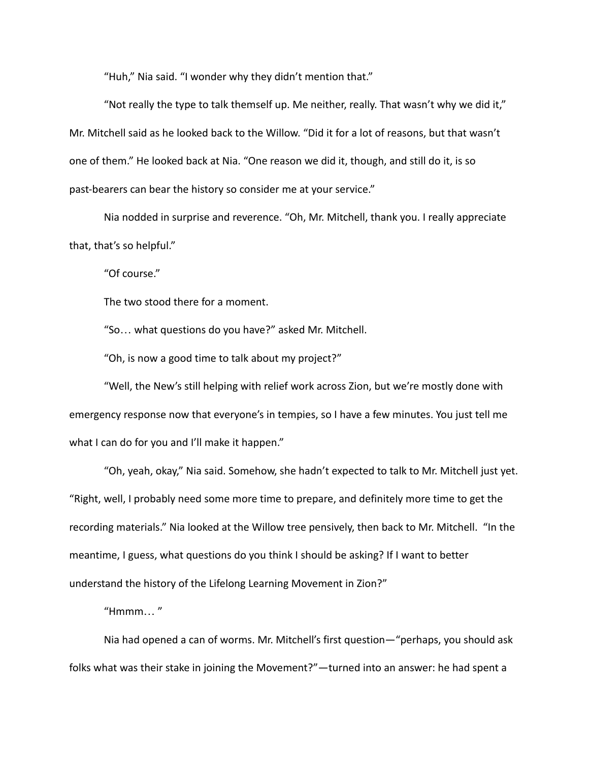"Huh," Nia said. "I wonder why they didn't mention that."

"Not really the type to talk themself up. Me neither, really. That wasn't why we did it," Mr. Mitchell said as he looked back to the Willow. "Did it for a lot of reasons, but that wasn't one of them." He looked back at Nia. "One reason we did it, though, and still do it, is so past-bearers can bear the history so consider me at your service."

Nia nodded in surprise and reverence. "Oh, Mr. Mitchell, thank you. I really appreciate that, that's so helpful."

"Of course."

The two stood there for a moment.

"So… what questions do you have?" asked Mr. Mitchell.

"Oh, is now a good time to talk about my project?"

"Well, the New's still helping with relief work across Zion, but we're mostly done with emergency response now that everyone's in tempies, so I have a few minutes. You just tell me what I can do for you and I'll make it happen."

"Oh, yeah, okay," Nia said. Somehow, she hadn't expected to talk to Mr. Mitchell just yet. "Right, well, I probably need some more time to prepare, and definitely more time to get the recording materials." Nia looked at the Willow tree pensively, then back to Mr. Mitchell. "In the meantime, I guess, what questions do you think I should be asking? If I want to better understand the history of the Lifelong Learning Movement in Zion?"

 $"Hmmm..."$ 

Nia had opened a can of worms. Mr. Mitchell's first question—"perhaps, you should ask folks what was their stake in joining the Movement?"—turned into an answer: he had spent a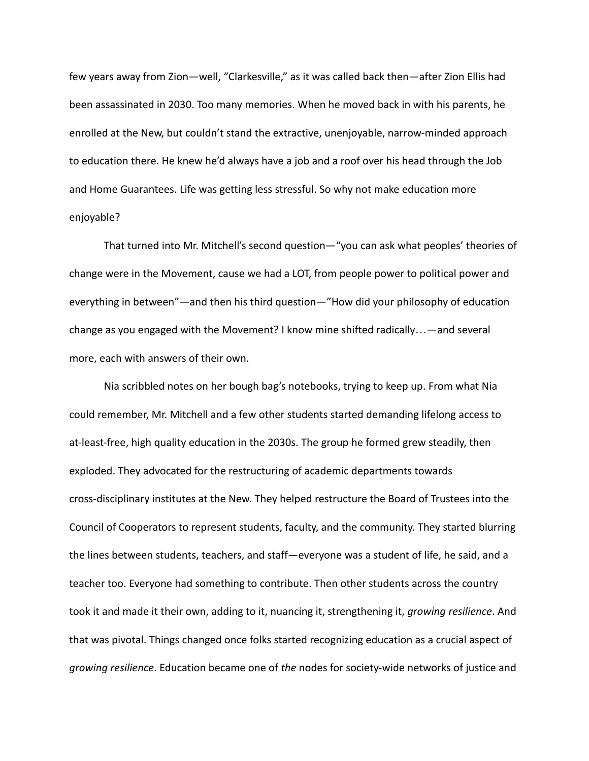few years away from Zion—well, "Clarkesville," as it was called back then—after Zion Ellis had been assassinated in 2030. Too many memories. When he moved back in with his parents, he enrolled at the New, but couldn't stand the extractive, unenjoyable, narrow-minded approach to education there. He knew he'd always have a job and a roof over his head through the Job and Home Guarantees. Life was getting less stressful. So why not make education more enjoyable?

That turned into Mr. Mitchell's second question—"you can ask what peoples' theories of change were in the Movement, cause we had a LOT, from people power to political power and everything in between"—and then his third question—"How did your philosophy of education change as you engaged with the Movement? I know mine shifted radically…—and several more, each with answers of their own.

Nia scribbled notes on her bough bag's notebooks, trying to keep up. From what Nia could remember, Mr. Mitchell and a few other students started demanding lifelong access to at-least-free, high quality education in the 2030s. The group he formed grew steadily, then exploded. They advocated for the restructuring of academic departments towards cross-disciplinary institutes at the New. They helped restructure the Board of Trustees into the Council of Cooperators to represent students, faculty, and the community. They started blurring the lines between students, teachers, and staff—everyone was a student of life, he said, and a teacher too. Everyone had something to contribute. Then other students across the country took it and made it their own, adding to it, nuancing it, strengthening it, *growing resilience*. And that was pivotal. Things changed once folks started recognizing education as a crucial aspect of *growing resilience*. Education became one of *the* nodes for society-wide networks of justice and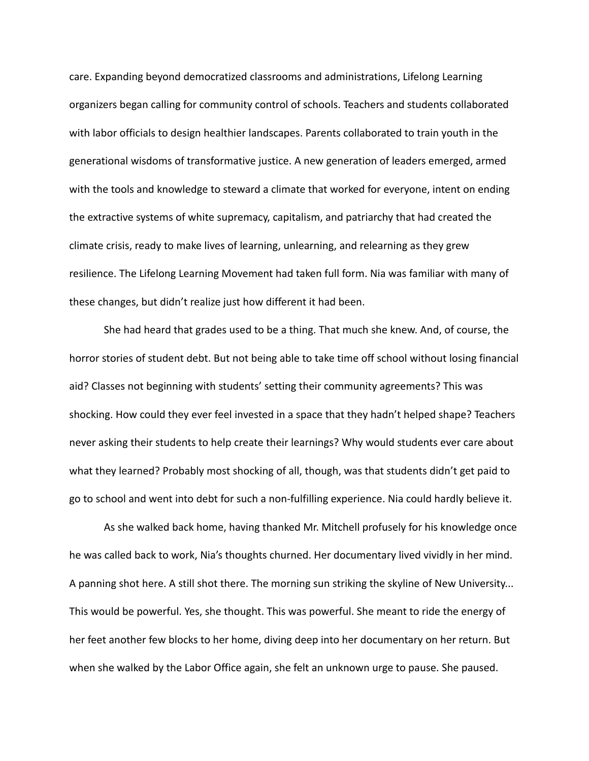care. Expanding beyond democratized classrooms and administrations, Lifelong Learning organizers began calling for community control of schools. Teachers and students collaborated with labor officials to design healthier landscapes. Parents collaborated to train youth in the generational wisdoms of transformative justice. A new generation of leaders emerged, armed with the tools and knowledge to steward a climate that worked for everyone, intent on ending the extractive systems of white supremacy, capitalism, and patriarchy that had created the climate crisis, ready to make lives of learning, unlearning, and relearning as they grew resilience. The Lifelong Learning Movement had taken full form. Nia was familiar with many of these changes, but didn't realize just how different it had been.

She had heard that grades used to be a thing. That much she knew. And, of course, the horror stories of student debt. But not being able to take time off school without losing financial aid? Classes not beginning with students' setting their community agreements? This was shocking. How could they ever feel invested in a space that they hadn't helped shape? Teachers never asking their students to help create their learnings? Why would students ever care about what they learned? Probably most shocking of all, though, was that students didn't get paid to go to school and went into debt for such a non-fulfilling experience. Nia could hardly believe it.

As she walked back home, having thanked Mr. Mitchell profusely for his knowledge once he was called back to work, Nia's thoughts churned. Her documentary lived vividly in her mind. A panning shot here. A still shot there. The morning sun striking the skyline of New University... This would be powerful. Yes, she thought. This was powerful. She meant to ride the energy of her feet another few blocks to her home, diving deep into her documentary on her return. But when she walked by the Labor Office again, she felt an unknown urge to pause. She paused.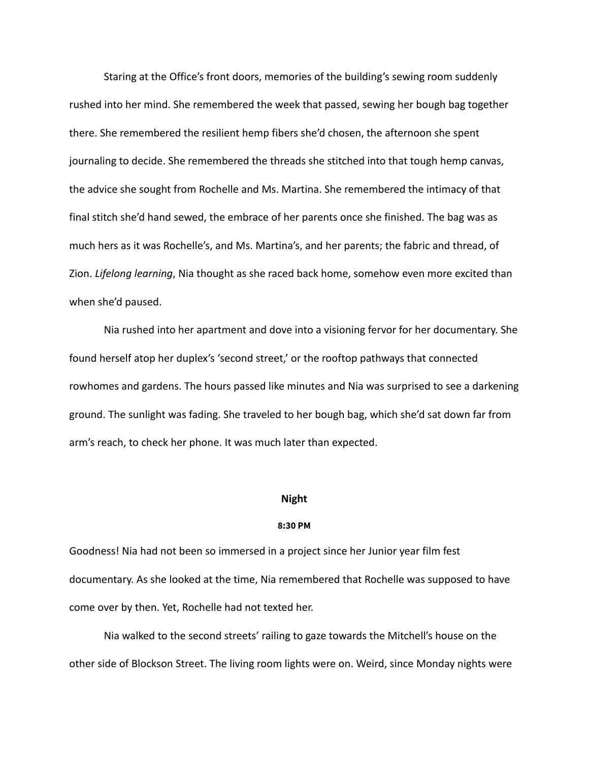Staring at the Office's front doors, memories of the building's sewing room suddenly rushed into her mind. She remembered the week that passed, sewing her bough bag together there. She remembered the resilient hemp fibers she'd chosen, the afternoon she spent journaling to decide. She remembered the threads she stitched into that tough hemp canvas, the advice she sought from Rochelle and Ms. Martina. She remembered the intimacy of that final stitch she'd hand sewed, the embrace of her parents once she finished. The bag was as much hers as it was Rochelle's, and Ms. Martina's, and her parents; the fabric and thread, of Zion. *Lifelong learning*, Nia thought as she raced back home, somehow even more excited than when she'd paused.

Nia rushed into her apartment and dove into a visioning fervor for her documentary. She found herself atop her duplex's 'second street,' or the rooftop pathways that connected rowhomes and gardens. The hours passed like minutes and Nia was surprised to see a darkening ground. The sunlight was fading. She traveled to her bough bag, which she'd sat down far from arm's reach, to check her phone. It was much later than expected.

#### **Night**

#### **8:30 PM**

Goodness! Nia had not been so immersed in a project since her Junior year film fest documentary. As she looked at the time, Nia remembered that Rochelle was supposed to have come over by then. Yet, Rochelle had not texted her.

Nia walked to the second streets' railing to gaze towards the Mitchell's house on the other side of Blockson Street. The living room lights were on. Weird, since Monday nights were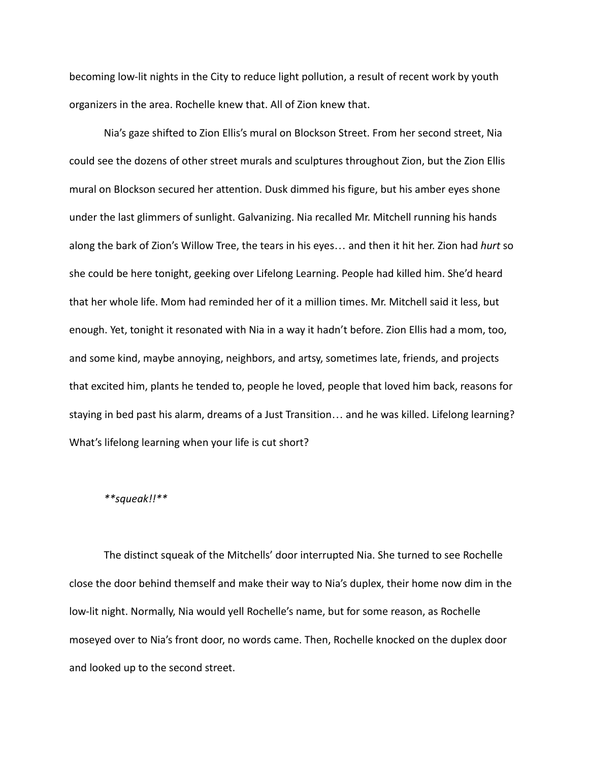becoming low-lit nights in the City to reduce light pollution, a result of recent work by youth organizers in the area. Rochelle knew that. All of Zion knew that.

Nia's gaze shifted to Zion Ellis's mural on Blockson Street. From her second street, Nia could see the dozens of other street murals and sculptures throughout Zion, but the Zion Ellis mural on Blockson secured her attention. Dusk dimmed his figure, but his amber eyes shone under the last glimmers of sunlight. Galvanizing. Nia recalled Mr. Mitchell running his hands along the bark of Zion's Willow Tree, the tears in his eyes… and then it hit her. Zion had *hurt* so she could be here tonight, geeking over Lifelong Learning. People had killed him. She'd heard that her whole life. Mom had reminded her of it a million times. Mr. Mitchell said it less, but enough. Yet, tonight it resonated with Nia in a way it hadn't before. Zion Ellis had a mom, too, and some kind, maybe annoying, neighbors, and artsy, sometimes late, friends, and projects that excited him, plants he tended to, people he loved, people that loved him back, reasons for staying in bed past his alarm, dreams of a Just Transition… and he was killed. Lifelong learning? What's lifelong learning when your life is cut short?

### *\*\*squeak!!\*\**

The distinct squeak of the Mitchells' door interrupted Nia. She turned to see Rochelle close the door behind themself and make their way to Nia's duplex, their home now dim in the low-lit night. Normally, Nia would yell Rochelle's name, but for some reason, as Rochelle moseyed over to Nia's front door, no words came. Then, Rochelle knocked on the duplex door and looked up to the second street.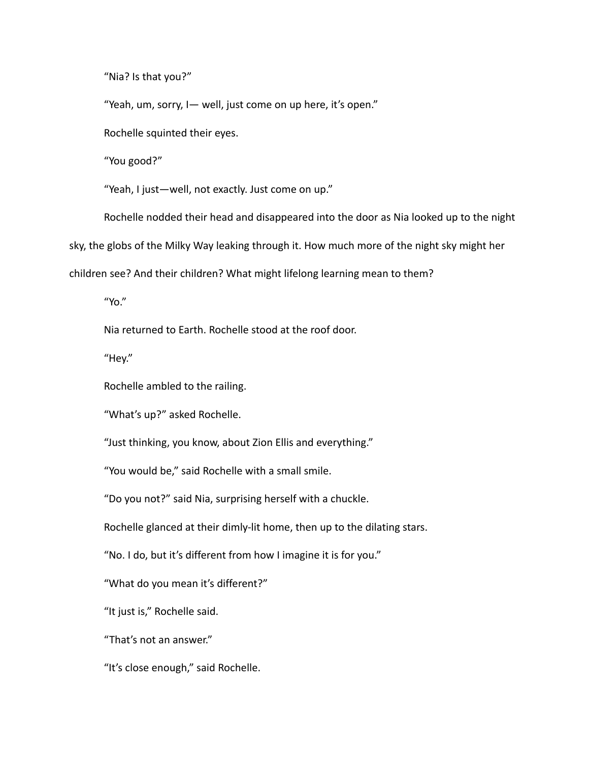"Nia? Is that you?"

"Yeah, um, sorry, I— well, just come on up here, it's open."

Rochelle squinted their eyes.

"You good?"

"Yeah, I just—well, not exactly. Just come on up."

Rochelle nodded their head and disappeared into the door as Nia looked up to the night

sky, the globs of the Milky Way leaking through it. How much more of the night sky might her

children see? And their children? What might lifelong learning mean to them?

"Yo."

Nia returned to Earth. Rochelle stood at the roof door.

"Hey."

Rochelle ambled to the railing.

"What's up?" asked Rochelle.

"Just thinking, you know, about Zion Ellis and everything."

"You would be," said Rochelle with a small smile.

"Do you not?" said Nia, surprising herself with a chuckle.

Rochelle glanced at their dimly-lit home, then up to the dilating stars.

"No. I do, but it's different from how I imagine it is for you."

"What do you mean it's different?"

"It just is," Rochelle said.

"That's not an answer."

"It's close enough," said Rochelle.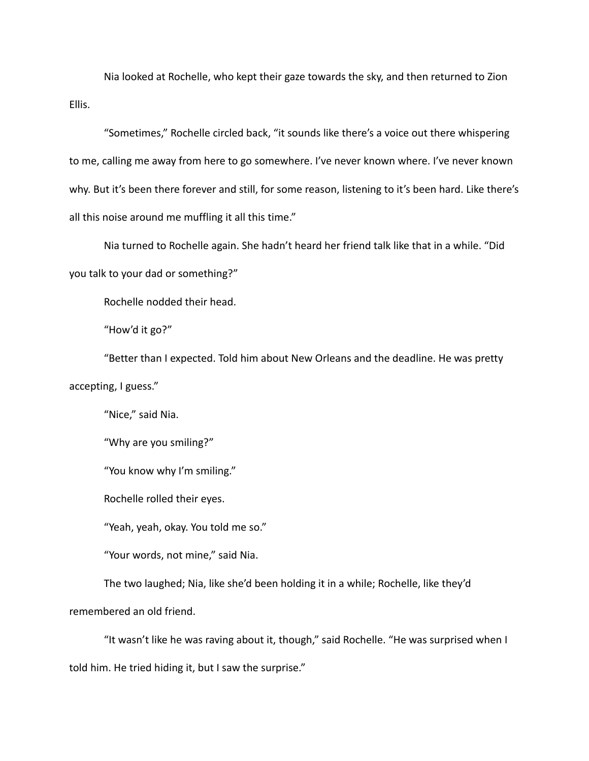Nia looked at Rochelle, who kept their gaze towards the sky, and then returned to Zion Ellis.

"Sometimes," Rochelle circled back, "it sounds like there's a voice out there whispering to me, calling me away from here to go somewhere. I've never known where. I've never known why. But it's been there forever and still, for some reason, listening to it's been hard. Like there's all this noise around me muffling it all this time."

Nia turned to Rochelle again. She hadn't heard her friend talk like that in a while. "Did

you talk to your dad or something?"

Rochelle nodded their head.

"How'd it go?"

"Better than I expected. Told him about New Orleans and the deadline. He was pretty accepting, I guess."

"Nice," said Nia.

"Why are you smiling?"

"You know why I'm smiling."

Rochelle rolled their eyes.

"Yeah, yeah, okay. You told me so."

"Your words, not mine," said Nia.

The two laughed; Nia, like she'd been holding it in a while; Rochelle, like they'd

remembered an old friend.

"It wasn't like he was raving about it, though," said Rochelle. "He was surprised when I told him. He tried hiding it, but I saw the surprise."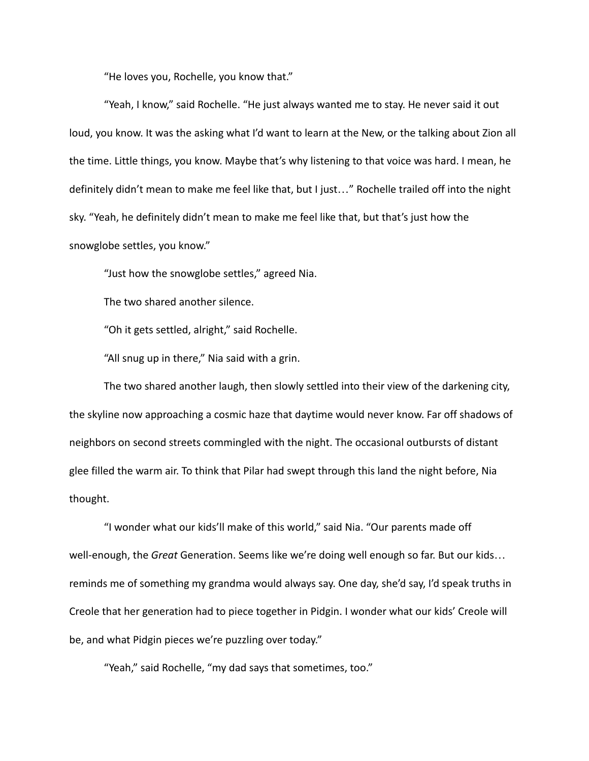"He loves you, Rochelle, you know that."

"Yeah, I know," said Rochelle. "He just always wanted me to stay. He never said it out loud, you know. It was the asking what I'd want to learn at the New, or the talking about Zion all the time. Little things, you know. Maybe that's why listening to that voice was hard. I mean, he definitely didn't mean to make me feel like that, but I just…" Rochelle trailed off into the night sky. "Yeah, he definitely didn't mean to make me feel like that, but that's just how the snowglobe settles, you know."

"Just how the snowglobe settles," agreed Nia.

The two shared another silence.

"Oh it gets settled, alright," said Rochelle.

"All snug up in there," Nia said with a grin.

The two shared another laugh, then slowly settled into their view of the darkening city, the skyline now approaching a cosmic haze that daytime would never know. Far off shadows of neighbors on second streets commingled with the night. The occasional outbursts of distant glee filled the warm air. To think that Pilar had swept through this land the night before, Nia thought.

"I wonder what our kids'll make of this world," said Nia. "Our parents made off well-enough, the *Great* Generation. Seems like we're doing well enough so far. But our kids… reminds me of something my grandma would always say. One day, she'd say, I'd speak truths in Creole that her generation had to piece together in Pidgin. I wonder what our kids' Creole will be, and what Pidgin pieces we're puzzling over today."

"Yeah," said Rochelle, "my dad says that sometimes, too."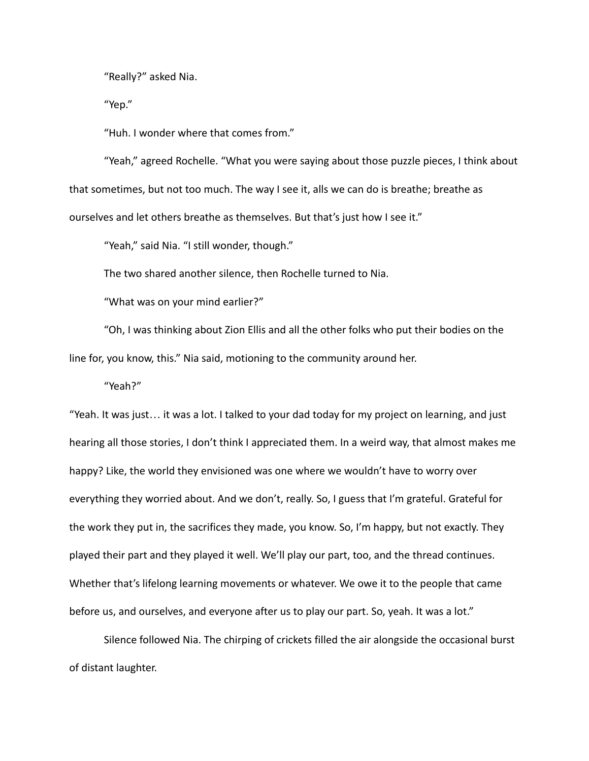"Really?" asked Nia.

"Yep."

"Huh. I wonder where that comes from."

"Yeah," agreed Rochelle. "What you were saying about those puzzle pieces, I think about that sometimes, but not too much. The way I see it, alls we can do is breathe; breathe as ourselves and let others breathe as themselves. But that's just how I see it."

"Yeah," said Nia. "I still wonder, though."

The two shared another silence, then Rochelle turned to Nia.

"What was on your mind earlier?"

"Oh, I was thinking about Zion Ellis and all the other folks who put their bodies on the line for, you know, this." Nia said, motioning to the community around her.

"Yeah?"

"Yeah. It was just… it was a lot. I talked to your dad today for my project on learning, and just hearing all those stories, I don't think I appreciated them. In a weird way, that almost makes me happy? Like, the world they envisioned was one where we wouldn't have to worry over everything they worried about. And we don't, really. So, I guess that I'm grateful. Grateful for the work they put in, the sacrifices they made, you know. So, I'm happy, but not exactly. They played their part and they played it well. We'll play our part, too, and the thread continues. Whether that's lifelong learning movements or whatever. We owe it to the people that came before us, and ourselves, and everyone after us to play our part. So, yeah. It was a lot."

Silence followed Nia. The chirping of crickets filled the air alongside the occasional burst of distant laughter.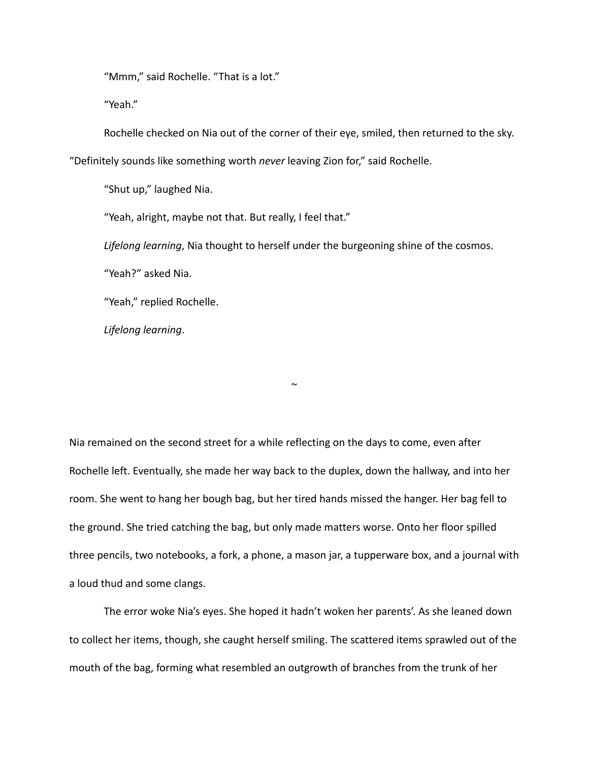"Mmm," said Rochelle. "That is a lot."

"Yeah."

Rochelle checked on Nia out of the corner of their eye, smiled, then returned to the sky.

"Definitely sounds like something worth *never* leaving Zion for," said Rochelle.

"Shut up," laughed Nia.

"Yeah, alright, maybe not that. But really, I feel that."

*Lifelong learning*, Nia thought to herself under the burgeoning shine of the cosmos.

"Yeah?" asked Nia.

"Yeah," replied Rochelle.

*Lifelong learning*.

Nia remained on the second street for a while reflecting on the days to come, even after Rochelle left. Eventually, she made her way back to the duplex, down the hallway, and into her room. She went to hang her bough bag, but her tired hands missed the hanger. Her bag fell to the ground. She tried catching the bag, but only made matters worse. Onto her floor spilled three pencils, two notebooks, a fork, a phone, a mason jar, a tupperware box, and a journal with a loud thud and some clangs.

 $\sim$ 

The error woke Nia's eyes. She hoped it hadn't woken her parents'. As she leaned down to collect her items, though, she caught herself smiling. The scattered items sprawled out of the mouth of the bag, forming what resembled an outgrowth of branches from the trunk of her